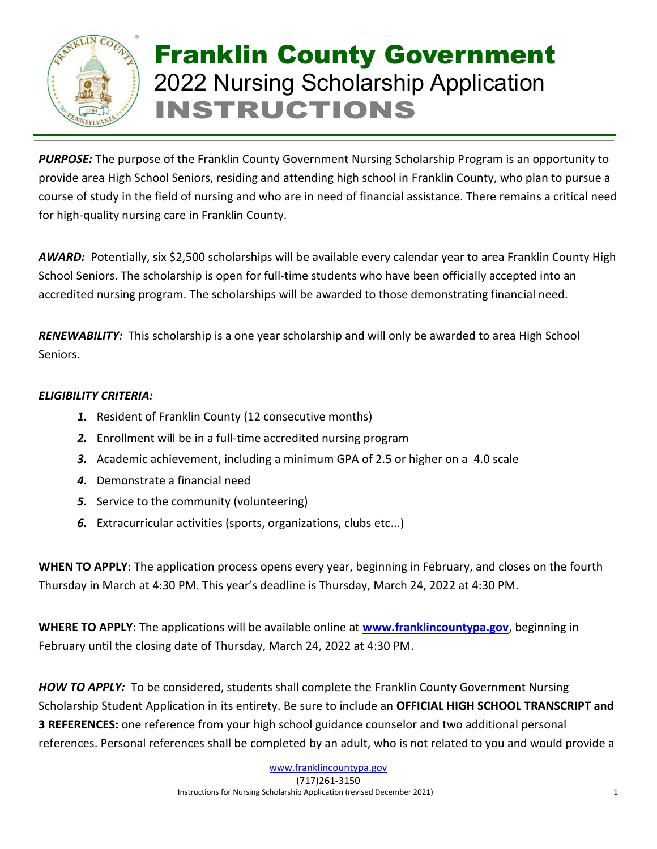

## Franklin County Government 2022 Nursing Scholarship Application INSTRUCTIONS

*PURPOSE:* The purpose of the Franklin County Government Nursing Scholarship Program is an opportunity to provide area High School Seniors, residing and attending high school in Franklin County, who plan to pursue a course of study in the field of nursing and who are in need of financial assistance. There remains a critical need for high-quality nursing care in Franklin County.

*AWARD:* Potentially, six \$2,500 scholarships will be available every calendar year to area Franklin County High School Seniors. The scholarship is open for full-time students who have been officially accepted into an accredited nursing program. The scholarships will be awarded to those demonstrating financial need.

*RENEWABILITY:* This scholarship is a one year scholarship and will only be awarded to area High School Seniors.

## *ELIGIBILITY CRITERIA:*

- *1.* Resident of Franklin County (12 consecutive months)
- *2.* Enrollment will be in a full-time accredited nursing program
- *3.* Academic achievement, including a minimum GPA of 2.5 or higher on a 4.0 scale
- *4.* Demonstrate a financial need
- *5.* Service to the community (volunteering)
- *6.* Extracurricular activities (sports, organizations, clubs etc...)

**WHEN TO APPLY**: The application process opens every year, beginning in February, and closes on the fourth Thursday in March at 4:30 PM. This year's deadline is Thursday, March 24, 2022 at 4:30 PM.

**WHERE TO APPLY**: The applications will be available online at **[www.franklincountypa.gov](http://www.franklincountypa.gov/)**, beginning in February until the closing date of Thursday, March 24, 2022 at 4:30 PM.

*HOW TO APPLY:* To be considered, students shall complete the Franklin County Government Nursing Scholarship Student Application in its entirety. Be sure to include an **OFFICIAL HIGH SCHOOL TRANSCRIPT and 3 REFERENCES:** one reference from your high school guidance counselor and two additional personal references. Personal references shall be completed by an adult, who is not related to you and would provide a